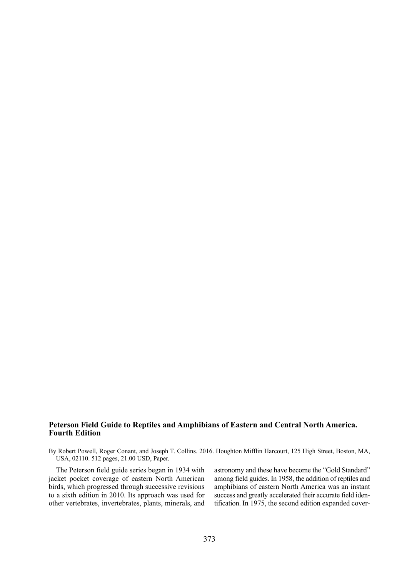## **Peterson Field Guide to Reptiles and Amphibians of Eastern and Central North America. Fourth Edition**

By Robert Powell, Roger Conant, and Joseph T. Collins. 2016. Houghton Mifflin Harcourt, 125 High Street, Boston, MA, USA, 02110. 512 pages, 21.00 USD, Paper.

The Peterson field guide series began in 1934 with jacket pocket coverage of eastern North American birds, which progressed through successive revisions to a sixth edition in 2010. Its approach was used for other vertebrates, invertebrates, plants, minerals, and astronomy and these have become the "Gold Standard" among field guides. In 1958, the addition of reptiles and amphibians of eastern North America was an instant success and greatly accelerated their accurate field identification. In 1975, the second edition expanded cover